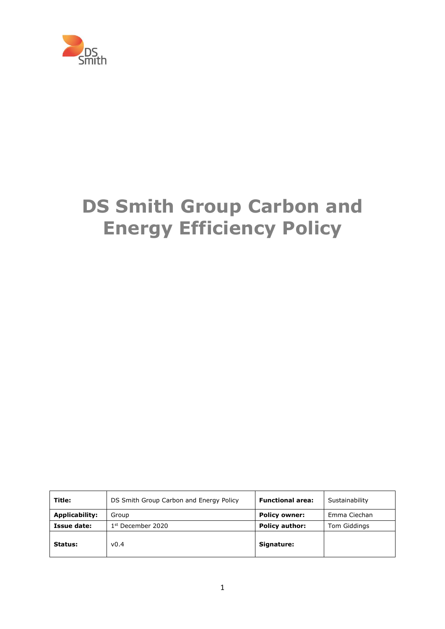

# **DS Smith Group Carbon and Energy Efficiency Policy**

| Title:                | DS Smith Group Carbon and Energy Policy | <b>Functional area:</b> | Sustainability |
|-----------------------|-----------------------------------------|-------------------------|----------------|
| <b>Applicability:</b> | Group                                   | <b>Policy owner:</b>    | Emma Ciechan   |
| Issue date:           | $1st$ December 2020                     | <b>Policy author:</b>   | Tom Giddings   |
| Status:               | v0.4                                    | Signature:              |                |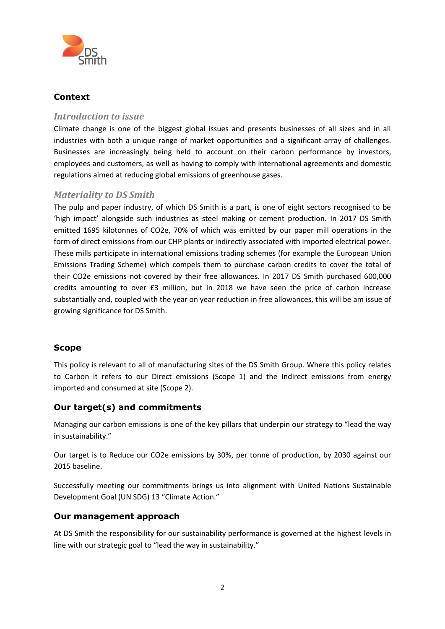

## **Context**

## *Introduction to issue*

Climate change is one of the biggest global issues and presents businesses of all sizes and in all industries with both a unique range of market opportunities and a significant array of challenges. Businesses are increasingly being held to account on their carbon performance by investors, employees and customers, as well as having to comply with international agreements and domestic regulations aimed at reducing global emissions of greenhouse gases.

#### *Materiality to DS Smith*

The pulp and paper industry, of which DS Smith is a part, is one of eight sectors recognised to be 'high impact' alongside such industries as steel making or cement production. In 2017 DS Smith emitted 1695 kilotonnes of CO2e, 70% of which was emitted by our paper mill operations in the form of direct emissions from our CHP plants or indirectly associated with imported electrical power. These mills participate in international emissions trading schemes (for example the European Union Emissions Trading Scheme) which compels them to purchase carbon credits to cover the total of their CO2e emissions not covered by their free allowances. In 2017 DS Smith purchased 600,000 credits amounting to over £3 million, but in 2018 we have seen the price of carbon increase substantially and, coupled with the year on year reduction in free allowances, this will be am issue of growing significance for DS Smith.

## **Scope**

This policy is relevant to all of manufacturing sites of the DS Smith Group. Where this policy relates to Carbon it refers to our Direct emissions (Scope 1) and the Indirect emissions from energy imported and consumed at site (Scope 2).

## **Our target(s) and commitments**

Managing our carbon emissions is one of the key pillars that underpin our strategy to "lead the way in sustainability."

Our target is to Reduce our CO2e emissions by 30%, per tonne of production, by 2030 against our 2015 baseline.

Successfully meeting our commitments brings us into alignment with United Nations Sustainable Development Goal (UN SDG) 13 "Climate Action."

#### **Our management approach**

At DS Smith the responsibility for our sustainability performance is governed at the highest levels in line with our strategic goal to "lead the way in sustainability."